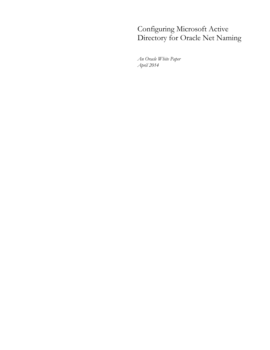# Configuring Microsoft Active Directory for Oracle Net Naming

*An Oracle White Paper April 2014*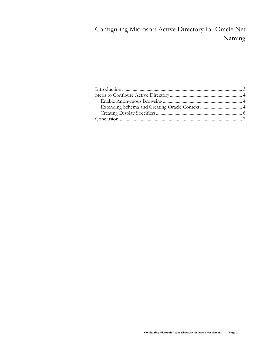## Configuring Microsoft Active Directory for Oracle Net Naming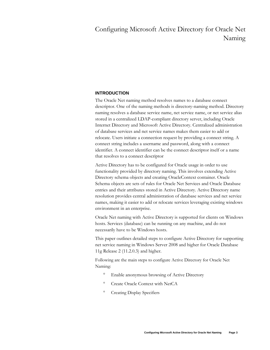## Configuring Microsoft Active Directory for Oracle Net Naming

### **INTRODUCTION**

The Oracle Net naming method resolves names to a database connect descriptor. One of the naming methods is directory-naming method. Directory naming resolves a database service name, net service name, or net service alias stored in a centralized LDAP-compliant directory server, including Oracle Internet Directory and Microsoft Active Directory. Centralized administration of database services and net service names makes them easier to add or relocate. Users initiate a connection request by providing a connect string. A connect string includes a username and password, along with a connect identifier. A connect identifier can be the connect descriptor itself or a name that resolves to a connect descriptor

Active Directory has to be configured for Oracle usage in order to use functionality provided by directory naming. This involves extending Active Directory schema objects and creating OracleContext container. Oracle Schema objects are sets of rules for Oracle Net Services and Oracle Database entries and their attributes stored in Active Directory. Active Directory name resolution provides central administration of database services and net service names, making it easier to add or relocate services leveraging existing windows environment in an enterprise.

Oracle Net naming with Active Directory is supported for clients on Windows hosts. Services (database) can be running on any machine, and do not necessarily have to be Windows hosts.

This paper outlines detailed steps to configure Active Directory for supporting net service naming in Windows Server 2008 and higher for Oracle Database 11g Release 2 (11.2.0.3) and higher.

Following are the main steps to configure Active Directory for Oracle Net Naming:

- <sup>o</sup> Enable anonymous browsing of Active Directory
- <sup>o</sup> Create Oracle Context with NetCA
- <sup>o</sup> Creating Display Specifiers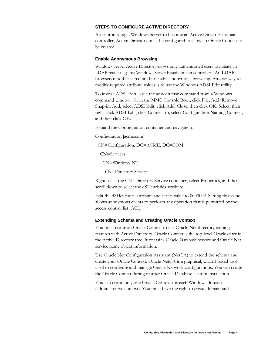## **STEPS TO CONFIGURE ACTIVE DIRECTORY**

After promoting a Windows Server to become an Active Directory domain controller, Active Directory must be configured to allow an Oracle Context to be created.

#### **Enable Anonymous Browsing**

Windows Server Active Directory allows only authenticated users to initiate an LDAP request against Windows Server based domain controllers. An LDAP browser/modifier is required to enable anonymous browsing. An easy way to modify required attribute values is to use the Windows ADSI Edit utility.

To invoke ADSI Edit, issue the adsiedit.msc command from a Windows command window. Or in the MMC Console Root, click File, Add/Remove Snap-in, Add, select ADSI Edit, click Add, Close, then click OK. Select, then right-click ADSI Edit, click Connect to, select Configuration Naming Context, and then click OK.

Expand the Configuration container and navigate to:

Configuration [acme.com]

CN=Configuration, DC=ACME, DC=COM

CN=Services

CN=Windows NT

CN=Directory Service

Right- click the CN=Directory Service container, select Properties, and then scroll down to select the dSHeuristics attribute.

Edit the dSHeuristics attribute and set its value to 0000002. Setting this value allows anonymous clients to perform any operation that is permitted by the access control list (ACL)

#### **Extending Schema and Creating Oracle Context**

You must create an Oracle Context to use Oracle Net directory naming features with Active Directory. Oracle Context is the top-level Oracle entry in the Active Directory tree. It contains Oracle Database service and Oracle Net service name object information.

Use Oracle Net Configuration Assistant (NetCA) to extend the schema and create your Oracle Context. Oracle NetCA is a graphical, wizard-based tool used to configure and manage Oracle Network configurations. You can create the Oracle Context during or after Oracle Database custom installation.

You can create only one Oracle Context for each Windows domain (administrative context). You must have the right to create domain and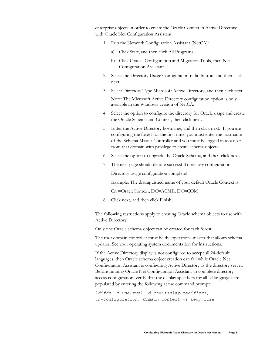enterprise objects in order to create the Oracle Context in Active Directory with Oracle Net Configuration Assistant.

- 1. Run the Network Configuration Assistant (NetCA):
	- a) Click Start, and then click All Programs.
	- b) Click Oracle, Configuration and Migration Tools, then Net Configuration Assistant.
- 2. Select the Directory Usage Configuration radio button, and then click next.
- 3. Select Directory Type Microsoft Active Directory, and then click next.

Note: The Microsoft Active Directory configuration option is only available in the Windows version of NetCA.

- 4. Select the option to configure the directory for Oracle usage and create the Oracle Schema and Context, then click next.
- 5. Enter the Active Directory hostname, and then click next. If you are configuring the forest for the first time, you must enter the hostname of the Schema Master Controller and you must be logged in as a user from that domain with privilege to create schema objects.
- 6. Select the option to upgrade the Oracle Schema, and then click next.
- 7. The next page should denote successful directory configuration:

Directory usage configuration complete!

Example: The distinguished name of your default Oracle Context is:

Cn =OracleContext, DC=ACME, DC=COM

8. Click next, and then click Finish.

The following restrictions apply to creating Oracle schema objects to use with Active Directory:

Only one Oracle schema object can be created for each forest.

The root domain controller must be the operations master that allows schema updates. See your operating system documentation for instructions.

If the Active Directory display is not configured to accept all 24-default languages, then Oracle schema object creation can fail while Oracle Net Configuration Assistant is configuring Active Directory as the directory server. Before running Oracle Net Configuration Assistant to complete directory access configuration, verify that the display specifiers for all 24 languages are populated by entering the following at the command prompt:

*ldifde -p OneLevel -d cn=DisplaySpecifiers, cn=Configuration, domain context -f temp file*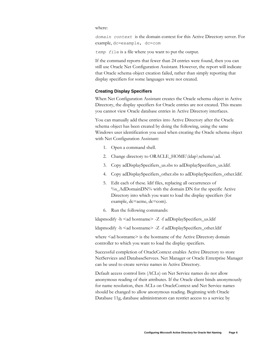where:

*domain context* is the domain context for this Active Directory server. For example, dc=example, dc=com

*temp fi*le is a file where you want to put the output.

If the command reports that fewer than 24 entries were found, then you can still use Oracle Net Configuration Assistant. However, the report will indicate that Oracle schema object creation failed, rather than simply reporting that display specifiers for some languages were not created.

#### **Creating Display Specifiers**

When Net Configuration Assistant creates the Oracle schema object in Active Directory, the display specifiers for Oracle entries are not created. This means you cannot view Oracle database entries in Active Directory interfaces.

You can manually add these entries into Active Directory after the Oracle schema object has been created by doing the following, using the same Windows user identification you used when creating the Oracle schema object with Net Configuration Assistant:

- 1. Open a command shell.
- 2. Change directory to ORACLE\_HOME\ldap\schema\ad.
- 3. Copy adDisplaySpecifiers\_us.sbs to adDisplaySpecifiers\_us.ldif.
- 4. Copy adDisplaySpecifiers\_other.sbs to adDisplaySpecifiers\_other.ldif.
- 5. Edit each of these. ldif files, replacing all occurrences of %s\_AdDomainDN% with the domain DN for the specific Active Directory into which you want to load the display specifiers (for example, dc=acme, dc=com).
- 6. Run the following commands:

ldapmodify -h <ad hostname> -Z -f adDisplaySpecifiers\_us.ldif

ldapmodify -h <ad hostname> -Z -f adDisplaySpecifiers\_other.ldif

where  $\leq$ ad hostname $\geq$  is the hostname of the Active Directory domain controller to which you want to load the display specifiers.

Successful completion of OracleContext enables Active Directory to store NetServices and DatabaseServces. Net Manager or Oracle Enterprise Manager can be used to create service names in Active Directory.

Default access control lists (ACLs) on Net Service names do not allow anonymous reading of their attributes. If the Oracle client binds anonymously for name resolution, then ACLs on OracleContext and Net Service names should be changed to allow anonymous reading. Beginning with Oracle Database 11g, database administrators can restrict access to a service by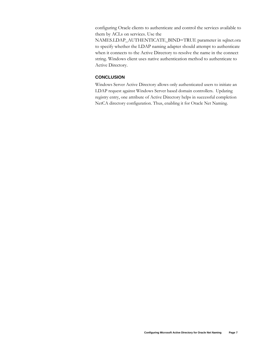configuring Oracle clients to authenticate and control the services available to them by ACLs on services. Use the

NAMES.LDAP\_AUTHENTICATE\_BIND=TRUE parameter in sqlnet.ora to specify whether the LDAP naming adapter should attempt to authenticate when it connects to the Active Directory to resolve the name in the connect string. Windows client uses native authentication method to authenticate to Active Directory.

### **CONCLUSION**

Windows Server Active Directory allows only authenticated users to initiate an LDAP request against Windows Server based domain controllers. Updating registry entry, one attribute of Active Directory helps in successful completion NetCA directory configuration. Thus, enabling it for Oracle Net Naming.